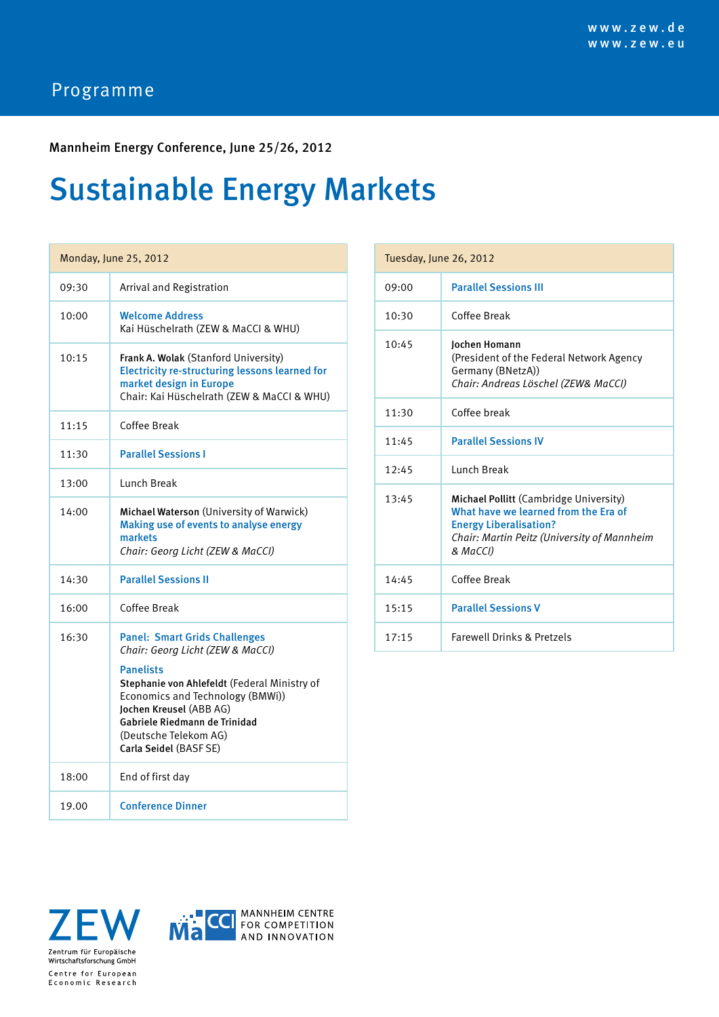## Sustainable Energy Markets

| Monday, June 25, 2012 |                                                                                                                                                                                                                                                                                                 |  |
|-----------------------|-------------------------------------------------------------------------------------------------------------------------------------------------------------------------------------------------------------------------------------------------------------------------------------------------|--|
| 09:30                 | Arrival and Registration                                                                                                                                                                                                                                                                        |  |
| 10:00                 | <b>Welcome Address</b><br>Kai Hüschelrath (ZEW & MaCCI & WHU)                                                                                                                                                                                                                                   |  |
| 10:15                 | Frank A. Wolak (Stanford University)<br><b>Electricity re-structuring lessons learned for</b><br>market design in Europe<br>Chair: Kai Hüschelrath (ZEW & MaCCI & WHU)                                                                                                                          |  |
| 11:15                 | Coffee Break                                                                                                                                                                                                                                                                                    |  |
| 11:30                 | <b>Parallel Sessions I</b>                                                                                                                                                                                                                                                                      |  |
| 13:00                 | Lunch Break                                                                                                                                                                                                                                                                                     |  |
| 14:00                 | Michael Waterson (University of Warwick)<br>Making use of events to analyse energy<br>markets<br>Chair: Georg Licht (ZEW & MaCCI)                                                                                                                                                               |  |
| 14:30                 | <b>Parallel Sessions II</b>                                                                                                                                                                                                                                                                     |  |
| 16:00                 | Coffee Break                                                                                                                                                                                                                                                                                    |  |
| 16:30                 | <b>Panel: Smart Grids Challenges</b><br>Chair: Georg Licht (ZEW & MaCCI)<br><b>Panelists</b><br>Stephanie von Ahlefeldt (Federal Ministry of<br>Economics and Technology (BMWi))<br>Jochen Kreusel (ABB AG)<br>Gabriele Riedmann de Trinidad<br>(Deutsche Telekom AG)<br>Carla Seidel (BASF SE) |  |
| 18:00                 | End of first day                                                                                                                                                                                                                                                                                |  |
| 19.00                 | <b>Conference Dinner</b>                                                                                                                                                                                                                                                                        |  |

| Tuesday, June 26, 2012 |                                                                                                                                                                            |  |
|------------------------|----------------------------------------------------------------------------------------------------------------------------------------------------------------------------|--|
| 09:00                  | <b>Parallel Sessions III</b>                                                                                                                                               |  |
| 10:30                  | Coffee Break                                                                                                                                                               |  |
| 10:45                  | <b>Jochen Homann</b><br>(President of the Federal Network Agency<br>Germany (BNetzA))<br>Chair: Andreas Löschel (ZEW& MaCCI)                                               |  |
| 11:30                  | Coffee break                                                                                                                                                               |  |
| 11:45                  | <b>Parallel Sessions IV</b>                                                                                                                                                |  |
| 12:45                  | <b>Lunch Break</b>                                                                                                                                                         |  |
| 13:45                  | Michael Pollitt (Cambridge University)<br>What have we learned from the Era of<br><b>Energy Liberalisation?</b><br>Chair: Martin Peitz (University of Mannheim<br>& MaCCI) |  |
| 14:45                  | Coffee Break                                                                                                                                                               |  |
| 15:15                  | <b>Parallel Sessions V</b>                                                                                                                                                 |  |
| 17:15                  | <b>Farewell Drinks &amp; Pretzels</b>                                                                                                                                      |  |

 $\bigvee$ Zentrum für Europäische<br>Wirtschaftsforschung GmbH Centre for European Economic Research

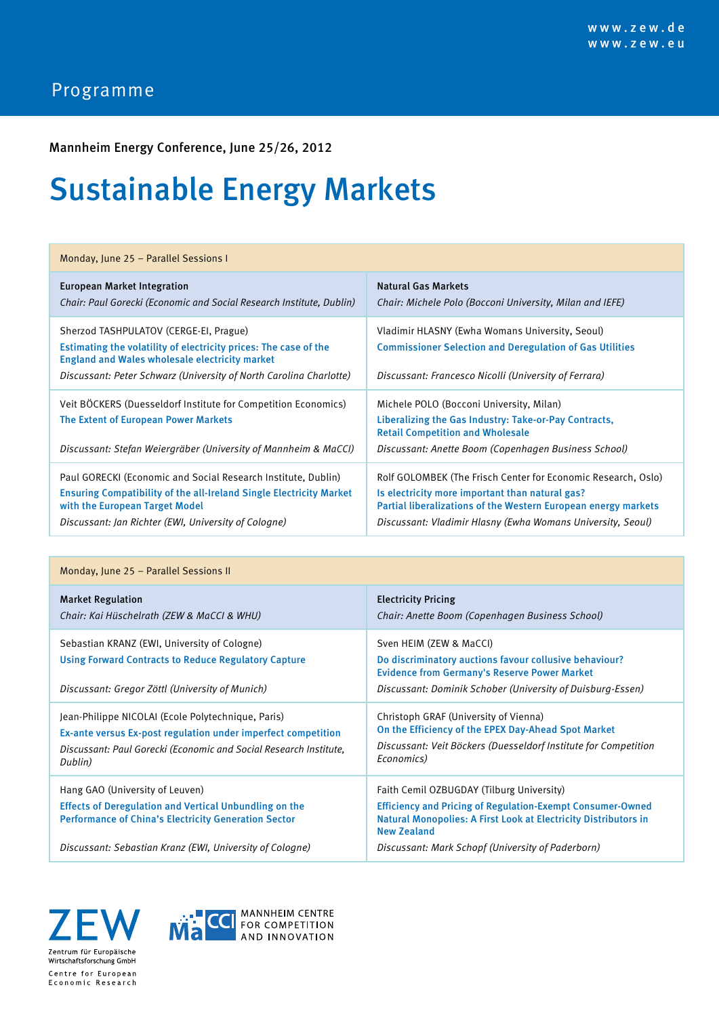## Sustainable Energy Markets

| Monday, June 25 - Parallel Sessions I                                                                                                                                                                                                     |                                                                                                                                                                                                                                                   |  |  |  |
|-------------------------------------------------------------------------------------------------------------------------------------------------------------------------------------------------------------------------------------------|---------------------------------------------------------------------------------------------------------------------------------------------------------------------------------------------------------------------------------------------------|--|--|--|
| European Market Integration<br>Chair: Paul Gorecki (Economic and Social Research Institute, Dublin)                                                                                                                                       | <b>Natural Gas Markets</b><br>Chair: Michele Polo (Bocconi University, Milan and IEFE)                                                                                                                                                            |  |  |  |
| Sherzod TASHPULATOV (CERGE-EI, Prague)<br>Estimating the volatility of electricity prices: The case of the<br><b>England and Wales wholesale electricity market</b><br>Discussant: Peter Schwarz (University of North Carolina Charlotte) | Vladimir HLASNY (Ewha Womans University, Seoul)<br><b>Commissioner Selection and Deregulation of Gas Utilities</b><br>Discussant: Francesco Nicolli (University of Ferrara)                                                                       |  |  |  |
| Veit BÖCKERS (Duesseldorf Institute for Competition Economics)<br>The Extent of European Power Markets<br>Discussant: Stefan Weiergräber (University of Mannheim & MaCCI)                                                                 | Michele POLO (Bocconi University, Milan)<br>Liberalizing the Gas Industry: Take-or-Pay Contracts,<br><b>Retail Competition and Wholesale</b><br>Discussant: Anette Boom (Copenhagen Business School)                                              |  |  |  |
| Paul GORECKI (Economic and Social Research Institute, Dublin)<br><b>Ensuring Compatibility of the all-Ireland Single Electricity Market</b><br>with the European Target Model<br>Discussant: Jan Richter (EWI, University of Cologne)     | Rolf GOLOMBEK (The Frisch Center for Economic Research, Oslo)<br>Is electricity more important than natural gas?<br>Partial liberalizations of the Western European energy markets<br>Discussant: Vladimir Hlasny (Ewha Womans University, Seoul) |  |  |  |

| Monday, June 25 - Parallel Sessions II                                                                                                                                                                                      |                                                                                                                                                                                                                                                              |  |  |  |
|-----------------------------------------------------------------------------------------------------------------------------------------------------------------------------------------------------------------------------|--------------------------------------------------------------------------------------------------------------------------------------------------------------------------------------------------------------------------------------------------------------|--|--|--|
| <b>Market Regulation</b><br>Chair: Kai Hüschelrath (ZEW & MaCCI & WHU)                                                                                                                                                      | <b>Electricity Pricing</b><br>Chair: Anette Boom (Copenhagen Business School)                                                                                                                                                                                |  |  |  |
| Sebastian KRANZ (EWI, University of Cologne)<br>Using Forward Contracts to Reduce Regulatory Capture<br>Discussant: Gregor Zöttl (University of Munich)                                                                     | Sven HEIM (ZEW & MaCCI)<br>Do discriminatory auctions favour collusive behaviour?<br><b>Evidence from Germany's Reserve Power Market</b><br>Discussant: Dominik Schober (University of Duisburg-Essen)                                                       |  |  |  |
| Jean-Philippe NICOLAI (Ecole Polytechnique, Paris)<br>Ex-ante versus Ex-post regulation under imperfect competition<br>Discussant: Paul Gorecki (Economic and Social Research Institute,<br>Dublin)                         | Christoph GRAF (University of Vienna)<br>On the Efficiency of the EPEX Day-Ahead Spot Market<br>Discussant: Veit Böckers (Duesseldorf Institute for Competition<br>Economics)                                                                                |  |  |  |
| Hang GAO (University of Leuven)<br><b>Effects of Deregulation and Vertical Unbundling on the</b><br><b>Performance of China's Electricity Generation Sector</b><br>Discussant: Sebastian Kranz (EWI, University of Cologne) | Faith Cemil OZBUGDAY (Tilburg University)<br><b>Efficiency and Pricing of Regulation-Exempt Consumer-Owned</b><br>Natural Monopolies: A First Look at Electricity Distributors in<br><b>New Zealand</b><br>Discussant: Mark Schopf (University of Paderborn) |  |  |  |

W Zentrum für Europäische<br>Wirtschaftsforschung GmbH Centre for European Economic Research

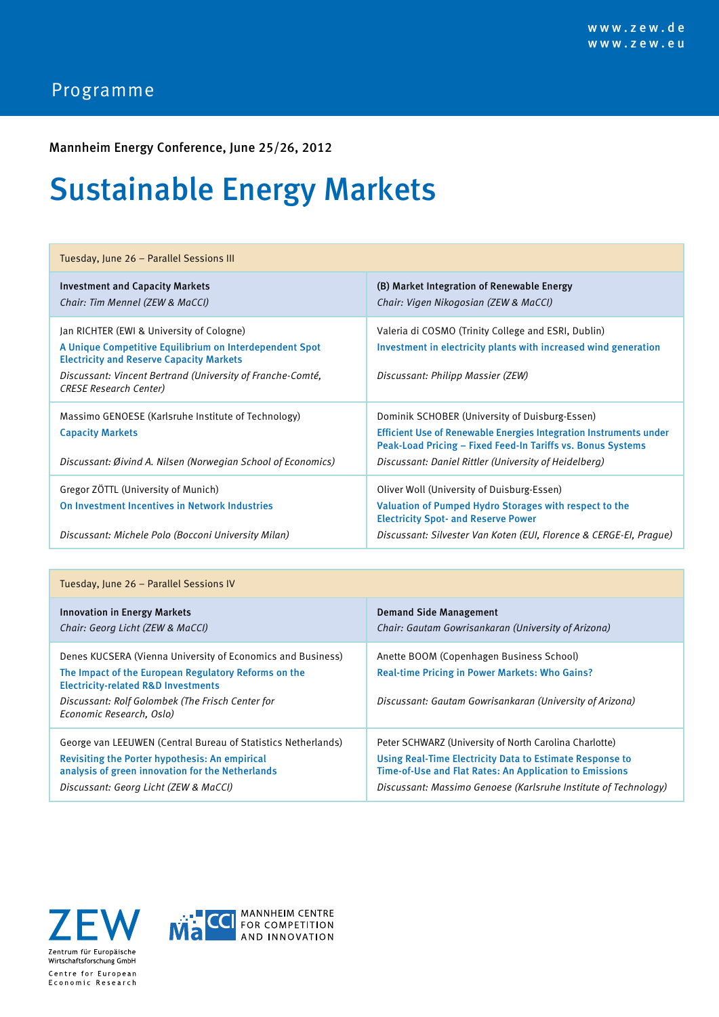## Sustainable Energy Markets

| Tuesday, June 26 - Parallel Sessions III                                                                                                                                                                                                               |                                                                                                                                                                                                                                             |  |  |
|--------------------------------------------------------------------------------------------------------------------------------------------------------------------------------------------------------------------------------------------------------|---------------------------------------------------------------------------------------------------------------------------------------------------------------------------------------------------------------------------------------------|--|--|
| <b>Investment and Capacity Markets</b><br>Chair: Tim Mennel (ZEW & MaCCI)                                                                                                                                                                              | (B) Market Integration of Renewable Energy<br>Chair: Vigen Nikogosian (ZEW & MaCCI)                                                                                                                                                         |  |  |
| Jan RICHTER (EWI & University of Cologne)<br>A Unique Competitive Equilibrium on Interdependent Spot<br><b>Electricity and Reserve Capacity Markets</b><br>Discussant: Vincent Bertrand (University of Franche-Comté,<br><b>CRESE Research Center)</b> | Valeria di COSMO (Trinity College and ESRI, Dublin)<br>Investment in electricity plants with increased wind generation<br>Discussant: Philipp Massier (ZEW)                                                                                 |  |  |
| Massimo GENOESE (Karlsruhe Institute of Technology)<br><b>Capacity Markets</b><br>Discussant: Øivind A. Nilsen (Norwegian School of Economics)                                                                                                         | Dominik SCHOBER (University of Duisburg-Essen)<br>Efficient Use of Renewable Energies Integration Instruments under<br>Peak-Load Pricing – Fixed Feed-In Tariffs vs. Bonus Systems<br>Discussant: Daniel Rittler (University of Heidelberg) |  |  |
| Gregor ZÖTTL (University of Munich)<br>On Investment Incentives in Network Industries                                                                                                                                                                  | Oliver Woll (University of Duisburg-Essen)<br>Valuation of Pumped Hydro Storages with respect to the<br><b>Electricity Spot- and Reserve Power</b>                                                                                          |  |  |
| Discussant: Michele Polo (Bocconi University Milan)                                                                                                                                                                                                    | Discussant: Silvester Van Koten (EUI, Florence & CERGE-EI, Praque)                                                                                                                                                                          |  |  |

| Tuesday, June 26 - Parallel Sessions IV                                                                                                                                                                                                               |                                                                                                                                                               |  |  |  |
|-------------------------------------------------------------------------------------------------------------------------------------------------------------------------------------------------------------------------------------------------------|---------------------------------------------------------------------------------------------------------------------------------------------------------------|--|--|--|
| <b>Innovation in Energy Markets</b>                                                                                                                                                                                                                   | Demand Side Management                                                                                                                                        |  |  |  |
| Chair: Georg Licht (ZEW & MaCCI)                                                                                                                                                                                                                      | Chair: Gautam Gowrisankaran (University of Arizona)                                                                                                           |  |  |  |
| Denes KUCSERA (Vienna University of Economics and Business)<br>The Impact of the European Regulatory Reforms on the<br><b>Electricity-related R&amp;D Investments</b><br>Discussant: Rolf Golombek (The Frisch Center for<br>Economic Research, Oslo) | Anette BOOM (Copenhagen Business School)<br><b>Real-time Pricing in Power Markets: Who Gains?</b><br>Discussant: Gautam Gowrisankaran (University of Arizona) |  |  |  |
| George van LEEUWEN (Central Bureau of Statistics Netherlands)                                                                                                                                                                                         | Peter SCHWARZ (University of North Carolina Charlotte)                                                                                                        |  |  |  |
| Revisiting the Porter hypothesis: An empirical                                                                                                                                                                                                        | Using Real-Time Electricity Data to Estimate Response to                                                                                                      |  |  |  |
| analysis of green innovation for the Netherlands                                                                                                                                                                                                      | Time-of-Use and Flat Rates: An Application to Emissions                                                                                                       |  |  |  |
| Discussant: Georg Licht (ZEW & MaCCI)                                                                                                                                                                                                                 | Discussant: Massimo Genoese (Karlsruhe Institute of Technology)                                                                                               |  |  |  |